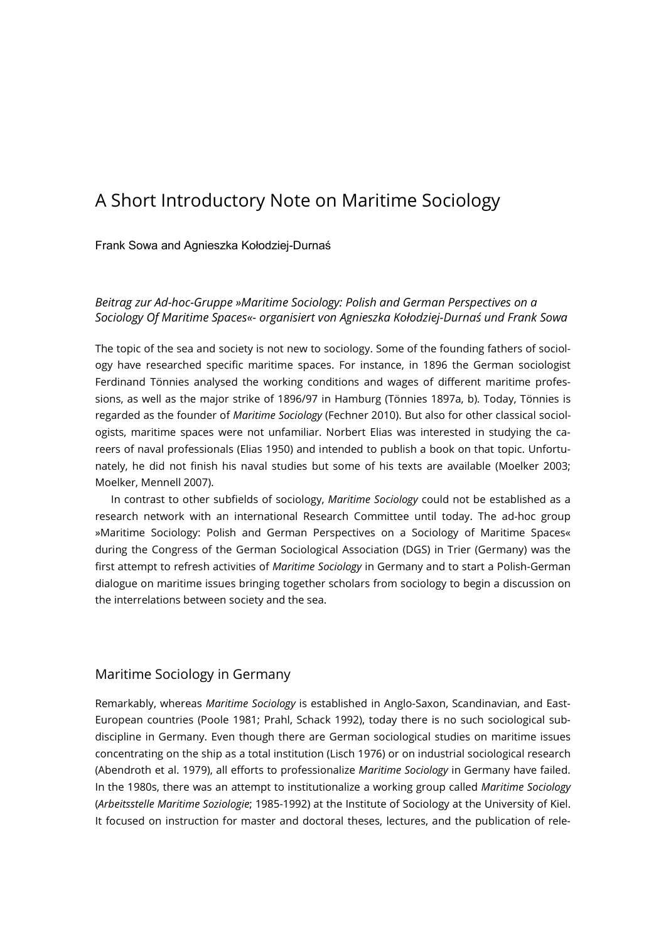# A Short Introductory Note on Maritime Sociology

#### Frank Sowa and Agnieszka Kołodziej-Durnaś

# Beitrag zur Ad-hoc-Gruppe »Maritime Sociology: Polish and German Perspectives on a Sociology Of Maritime Spaces«- organisiert von Agnieszka Kołodziej-Durnaś und Frank Sowa

The topic of the sea and society is not new to sociology. Some of the founding fathers of sociology have researched specific maritime spaces. For instance, in 1896 the German sociologist Ferdinand Tönnies analysed the working conditions and wages of different maritime professions, as well as the major strike of 1896/97 in Hamburg (Tönnies 1897a, b). Today, Tönnies is regarded as the founder of Maritime Sociology (Fechner 2010). But also for other classical sociologists, maritime spaces were not unfamiliar. Norbert Elias was interested in studying the careers of naval professionals (Elias 1950) and intended to publish a book on that topic. Unfortunately, he did not finish his naval studies but some of his texts are available (Moelker 2003; Moelker, Mennell 2007).

In contrast to other subfields of sociology, Maritime Sociology could not be established as a research network with an international Research Committee until today. The ad-hoc group »Maritime Sociology: Polish and German Perspectives on a Sociology of Maritime Spaces« during the Congress of the German Sociological Association (DGS) in Trier (Germany) was the first attempt to refresh activities of Maritime Sociology in Germany and to start a Polish-German dialogue on maritime issues bringing together scholars from sociology to begin a discussion on the interrelations between society and the sea.

## Maritime Sociology in Germany

Remarkably, whereas Maritime Sociology is established in Anglo-Saxon, Scandinavian, and East-European countries (Poole 1981; Prahl, Schack 1992), today there is no such sociological subdiscipline in Germany. Even though there are German sociological studies on maritime issues concentrating on the ship as a total institution (Lisch 1976) or on industrial sociological research (Abendroth et al. 1979), all efforts to professionalize Maritime Sociology in Germany have failed. In the 1980s, there was an attempt to institutionalize a working group called Maritime Sociology (Arbeitsstelle Maritime Soziologie; 1985-1992) at the Institute of Sociology at the University of Kiel. It focused on instruction for master and doctoral theses, lectures, and the publication of rele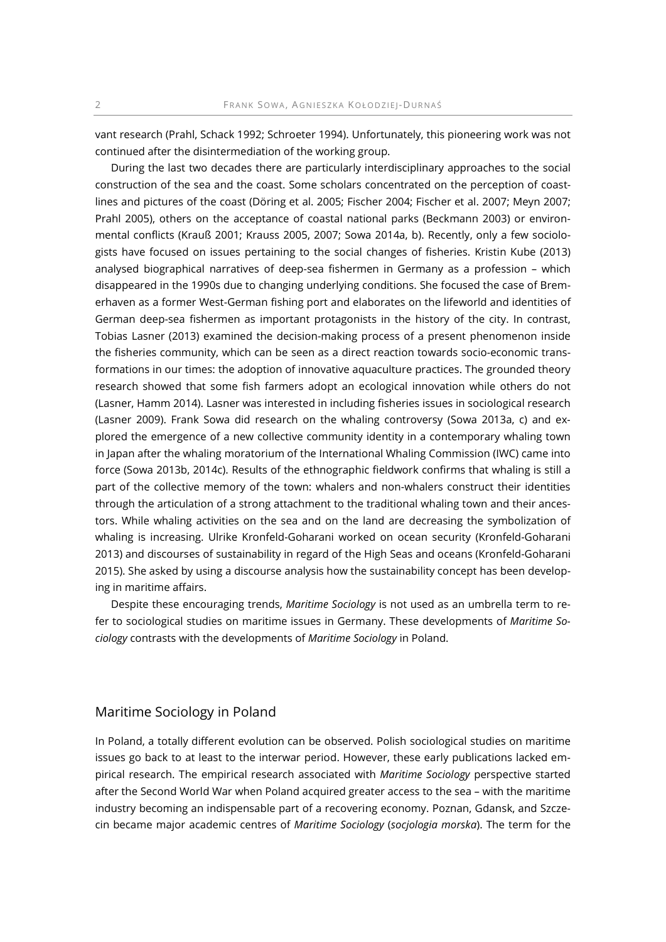vant research (Prahl, Schack 1992; Schroeter 1994). Unfortunately, this pioneering work was not continued after the disintermediation of the working group.

During the last two decades there are particularly interdisciplinary approaches to the social construction of the sea and the coast. Some scholars concentrated on the perception of coastlines and pictures of the coast (Döring et al. 2005; Fischer 2004; Fischer et al. 2007; Meyn 2007; Prahl 2005), others on the acceptance of coastal national parks (Beckmann 2003) or environmental conflicts (Krauß 2001; Krauss 2005, 2007; Sowa 2014a, b). Recently, only a few sociologists have focused on issues pertaining to the social changes of fisheries. Kristin Kube (2013) analysed biographical narratives of deep-sea fishermen in Germany as a profession – which disappeared in the 1990s due to changing underlying conditions. She focused the case of Bremerhaven as a former West-German fishing port and elaborates on the lifeworld and identities of German deep-sea fishermen as important protagonists in the history of the city. In contrast, Tobias Lasner (2013) examined the decision-making process of a present phenomenon inside the fisheries community, which can be seen as a direct reaction towards socio-economic transformations in our times: the adoption of innovative aquaculture practices. The grounded theory research showed that some fish farmers adopt an ecological innovation while others do not (Lasner, Hamm 2014). Lasner was interested in including fisheries issues in sociological research (Lasner 2009). Frank Sowa did research on the whaling controversy (Sowa 2013a, c) and explored the emergence of a new collective community identity in a contemporary whaling town in Japan after the whaling moratorium of the International Whaling Commission (IWC) came into force (Sowa 2013b, 2014c). Results of the ethnographic fieldwork confirms that whaling is still a part of the collective memory of the town: whalers and non-whalers construct their identities through the articulation of a strong attachment to the traditional whaling town and their ancestors. While whaling activities on the sea and on the land are decreasing the symbolization of whaling is increasing. Ulrike Kronfeld-Goharani worked on ocean security (Kronfeld-Goharani 2013) and discourses of sustainability in regard of the High Seas and oceans (Kronfeld-Goharani 2015). She asked by using a discourse analysis how the sustainability concept has been developing in maritime affairs.

Despite these encouraging trends, Maritime Sociology is not used as an umbrella term to refer to sociological studies on maritime issues in Germany. These developments of Maritime Sociology contrasts with the developments of Maritime Sociology in Poland.

## Maritime Sociology in Poland

In Poland, a totally different evolution can be observed. Polish sociological studies on maritime issues go back to at least to the interwar period. However, these early publications lacked empirical research. The empirical research associated with Maritime Sociology perspective started after the Second World War when Poland acquired greater access to the sea – with the maritime industry becoming an indispensable part of a recovering economy. Poznan, Gdansk, and Szczecin became major academic centres of Maritime Sociology (socjologia morska). The term for the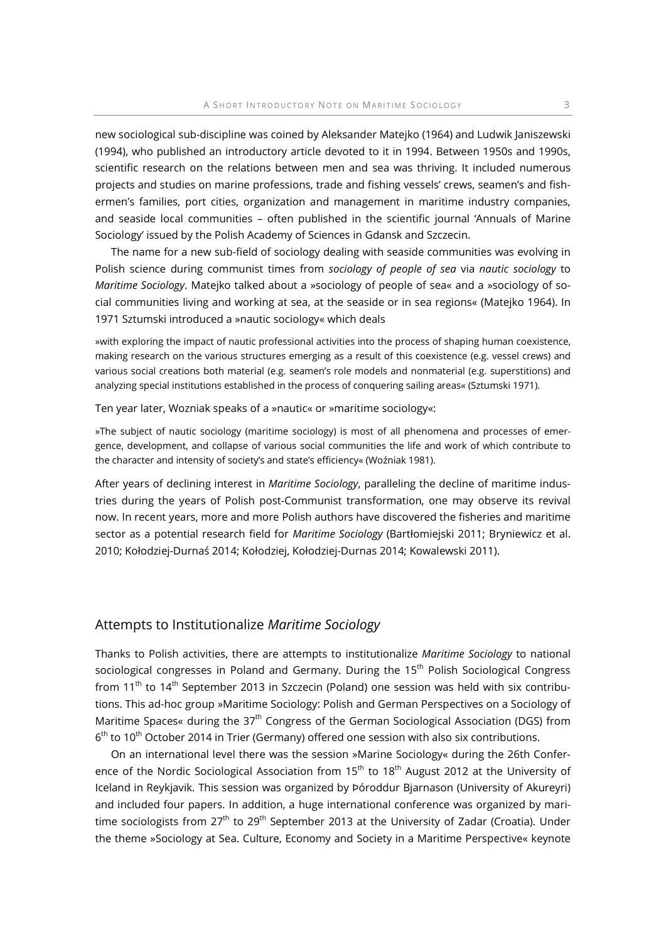new sociological sub-discipline was coined by Aleksander Matejko (1964) and Ludwik Janiszewski (1994), who published an introductory article devoted to it in 1994. Between 1950s and 1990s, scientific research on the relations between men and sea was thriving. It included numerous projects and studies on marine professions, trade and fishing vessels' crews, seamen's and fishermen's families, port cities, organization and management in maritime industry companies, and seaside local communities – often published in the scientific journal 'Annuals of Marine Sociology' issued by the Polish Academy of Sciences in Gdansk and Szczecin.

The name for a new sub-field of sociology dealing with seaside communities was evolving in Polish science during communist times from sociology of people of sea via nautic sociology to Maritime Sociology. Matejko talked about a »sociology of people of sea« and a »sociology of social communities living and working at sea, at the seaside or in sea regions« (Matejko 1964). In 1971 Sztumski introduced a »nautic sociology« which deals

»with exploring the impact of nautic professional activities into the process of shaping human coexistence, making research on the various structures emerging as a result of this coexistence (e.g. vessel crews) and various social creations both material (e.g. seamen's role models and nonmaterial (e.g. superstitions) and analyzing special institutions established in the process of conquering sailing areas« (Sztumski 1971).

Ten year later, Wozniak speaks of a »nautic« or »maritime sociology«:

»The subject of nautic sociology (maritime sociology) is most of all phenomena and processes of emergence, development, and collapse of various social communities the life and work of which contribute to the character and intensity of society's and state's efficiency« (Woźniak 1981).

After years of declining interest in Maritime Sociology, paralleling the decline of maritime industries during the years of Polish post-Communist transformation, one may observe its revival now. In recent years, more and more Polish authors have discovered the fisheries and maritime sector as a potential research field for Maritime Sociology (Bartłomiejski 2011; Bryniewicz et al. 2010; Kołodziej-Durnaś 2014; Kołodziej, Kołodziej-Durnas 2014; Kowalewski 2011).

#### Attempts to Institutionalize Maritime Sociology

Thanks to Polish activities, there are attempts to institutionalize Maritime Sociology to national sociological congresses in Poland and Germany. During the 15<sup>th</sup> Polish Sociological Congress from  $11<sup>th</sup>$  to  $14<sup>th</sup>$  September 2013 in Szczecin (Poland) one session was held with six contributions. This ad-hoc group »Maritime Sociology: Polish and German Perspectives on a Sociology of Maritime Spaces« during the  $37<sup>th</sup>$  Congress of the German Sociological Association (DGS) from 6<sup>th</sup> to 10<sup>th</sup> October 2014 in Trier (Germany) offered one session with also six contributions.

On an international level there was the session »Marine Sociology« during the 26th Conference of the Nordic Sociological Association from 15<sup>th</sup> to 18<sup>th</sup> August 2012 at the University of Iceland in Reykjavik. This session was organized by Þóroddur Bjarnason (University of Akureyri) and included four papers. In addition, a huge international conference was organized by maritime sociologists from  $27<sup>th</sup>$  to  $29<sup>th</sup>$  September 2013 at the University of Zadar (Croatia). Under the theme »Sociology at Sea. Culture, Economy and Society in a Maritime Perspective« keynote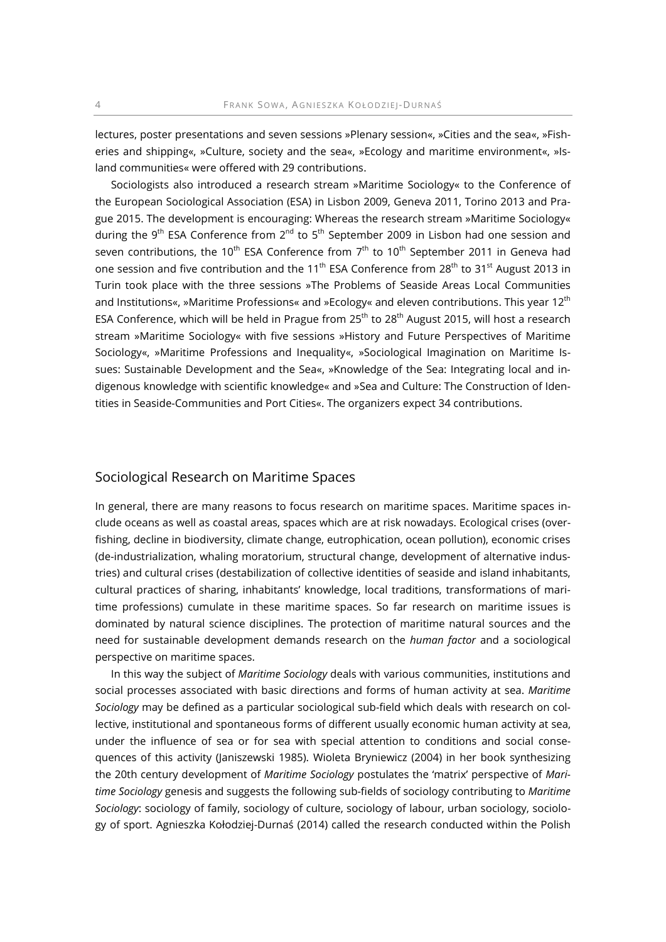lectures, poster presentations and seven sessions »Plenary session«, »Cities and the sea«, »Fisheries and shipping«, »Culture, society and the sea«, »Ecology and maritime environment«, »Island communities« were offered with 29 contributions.

Sociologists also introduced a research stream »Maritime Sociology« to the Conference of the European Sociological Association (ESA) in Lisbon 2009, Geneva 2011, Torino 2013 and Prague 2015. The development is encouraging: Whereas the research stream »Maritime Sociology« during the 9<sup>th</sup> ESA Conference from 2<sup>nd</sup> to 5<sup>th</sup> September 2009 in Lisbon had one session and seven contributions, the 10<sup>th</sup> ESA Conference from  $7<sup>th</sup>$  to 10<sup>th</sup> September 2011 in Geneva had one session and five contribution and the 11<sup>th</sup> ESA Conference from 28<sup>th</sup> to 31<sup>st</sup> August 2013 in Turin took place with the three sessions »The Problems of Seaside Areas Local Communities and Institutions«, »Maritime Professions« and »Ecology« and eleven contributions. This year 12th ESA Conference, which will be held in Prague from 25<sup>th</sup> to 28<sup>th</sup> August 2015, will host a research stream »Maritime Sociology« with five sessions »History and Future Perspectives of Maritime Sociology«, »Maritime Professions and Inequality«, »Sociological Imagination on Maritime Issues: Sustainable Development and the Sea«, »Knowledge of the Sea: Integrating local and indigenous knowledge with scientific knowledge« and »Sea and Culture: The Construction of Identities in Seaside-Communities and Port Cities«. The organizers expect 34 contributions.

# Sociological Research on Maritime Spaces

In general, there are many reasons to focus research on maritime spaces. Maritime spaces include oceans as well as coastal areas, spaces which are at risk nowadays. Ecological crises (overfishing, decline in biodiversity, climate change, eutrophication, ocean pollution), economic crises (de-industrialization, whaling moratorium, structural change, development of alternative industries) and cultural crises (destabilization of collective identities of seaside and island inhabitants, cultural practices of sharing, inhabitants' knowledge, local traditions, transformations of maritime professions) cumulate in these maritime spaces. So far research on maritime issues is dominated by natural science disciplines. The protection of maritime natural sources and the need for sustainable development demands research on the *human factor* and a sociological perspective on maritime spaces.

In this way the subject of Maritime Sociology deals with various communities, institutions and social processes associated with basic directions and forms of human activity at sea. Maritime Sociology may be defined as a particular sociological sub-field which deals with research on collective, institutional and spontaneous forms of different usually economic human activity at sea, under the influence of sea or for sea with special attention to conditions and social consequences of this activity (Janiszewski 1985). Wioleta Bryniewicz (2004) in her book synthesizing the 20th century development of Maritime Sociology postulates the 'matrix' perspective of Maritime Sociology genesis and suggests the following sub-fields of sociology contributing to Maritime Sociology: sociology of family, sociology of culture, sociology of labour, urban sociology, sociology of sport. Agnieszka Kołodziej-Durnaś (2014) called the research conducted within the Polish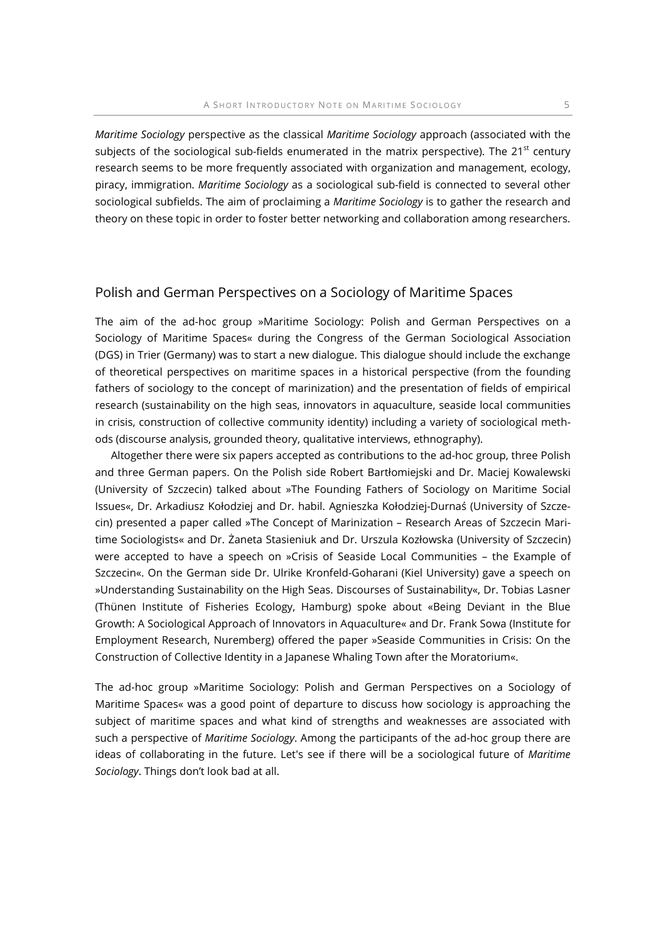Maritime Sociology perspective as the classical Maritime Sociology approach (associated with the subjects of the sociological sub-fields enumerated in the matrix perspective). The  $21^{st}$  century research seems to be more frequently associated with organization and management, ecology, piracy, immigration. Maritime Sociology as a sociological sub-field is connected to several other sociological subfields. The aim of proclaiming a Maritime Sociology is to gather the research and theory on these topic in order to foster better networking and collaboration among researchers.

# Polish and German Perspectives on a Sociology of Maritime Spaces

The aim of the ad-hoc group »Maritime Sociology: Polish and German Perspectives on a Sociology of Maritime Spaces« during the Congress of the German Sociological Association (DGS) in Trier (Germany) was to start a new dialogue. This dialogue should include the exchange of theoretical perspectives on maritime spaces in a historical perspective (from the founding fathers of sociology to the concept of marinization) and the presentation of fields of empirical research (sustainability on the high seas, innovators in aquaculture, seaside local communities in crisis, construction of collective community identity) including a variety of sociological methods (discourse analysis, grounded theory, qualitative interviews, ethnography).

Altogether there were six papers accepted as contributions to the ad-hoc group, three Polish and three German papers. On the Polish side Robert Bartłomiejski and Dr. Maciej Kowalewski (University of Szczecin) talked about »The Founding Fathers of Sociology on Maritime Social Issues«, Dr. Arkadiusz Kołodziej and Dr. habil. Agnieszka Kołodziej-Durnaś (University of Szczecin) presented a paper called »The Concept of Marinization – Research Areas of Szczecin Maritime Sociologists« and Dr. Żaneta Stasieniuk and Dr. Urszula Kozłowska (University of Szczecin) were accepted to have a speech on »Crisis of Seaside Local Communities – the Example of Szczecin«. On the German side Dr. Ulrike Kronfeld-Goharani (Kiel University) gave a speech on »Understanding Sustainability on the High Seas. Discourses of Sustainability«, Dr. Tobias Lasner (Thünen Institute of Fisheries Ecology, Hamburg) spoke about «Being Deviant in the Blue Growth: A Sociological Approach of Innovators in Aquaculture« and Dr. Frank Sowa (Institute for Employment Research, Nuremberg) offered the paper »Seaside Communities in Crisis: On the Construction of Collective Identity in a Japanese Whaling Town after the Moratorium«.

The ad-hoc group »Maritime Sociology: Polish and German Perspectives on a Sociology of Maritime Spaces« was a good point of departure to discuss how sociology is approaching the subject of maritime spaces and what kind of strengths and weaknesses are associated with such a perspective of *Maritime Sociology*. Among the participants of the ad-hoc group there are ideas of collaborating in the future. Let's see if there will be a sociological future of Maritime Sociology. Things don't look bad at all.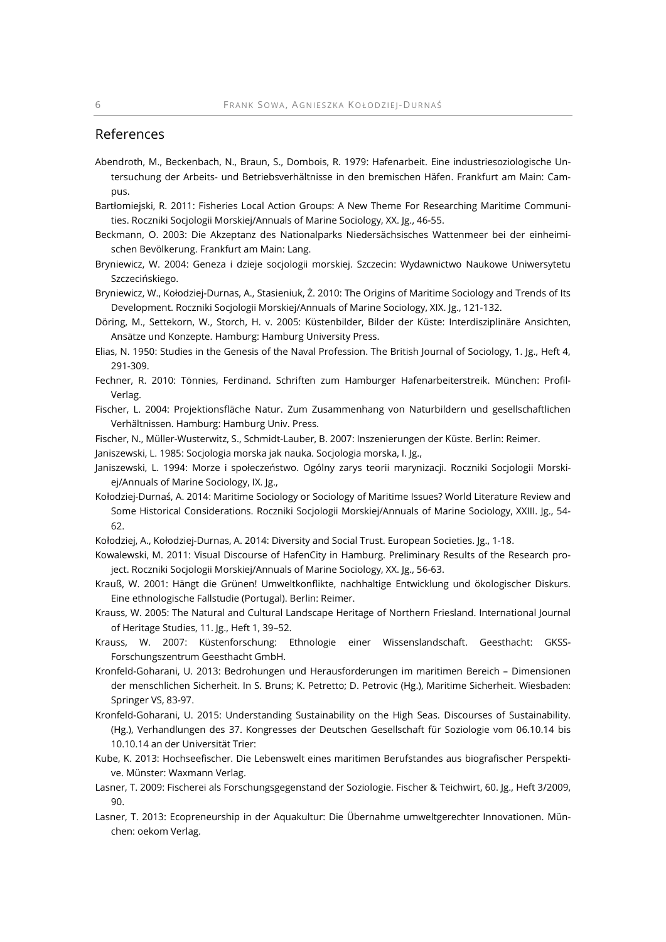# References

- Abendroth, M., Beckenbach, N., Braun, S., Dombois, R. 1979: Hafenarbeit. Eine industriesoziologische Untersuchung der Arbeits- und Betriebsverhältnisse in den bremischen Häfen. Frankfurt am Main: Campus.
- Bartłomiejski, R. 2011: Fisheries Local Action Groups: A New Theme For Researching Maritime Communities. Roczniki Socjologii Morskiej/Annuals of Marine Sociology, XX. Jg., 46-55.
- Beckmann, O. 2003: Die Akzeptanz des Nationalparks Niedersächsisches Wattenmeer bei der einheimischen Bevölkerung. Frankfurt am Main: Lang.
- Bryniewicz, W. 2004: Geneza i dzieje socjologii morskiej. Szczecin: Wydawnictwo Naukowe Uniwersytetu Szczecińskiego.
- Bryniewicz, W., Kołodziej-Durnas, A., Stasieniuk, Ż. 2010: The Origins of Maritime Sociology and Trends of Its Development. Roczniki Socjologii Morskiej/Annuals of Marine Sociology, XIX. Jg., 121-132.
- Döring, M., Settekorn, W., Storch, H. v. 2005: Küstenbilder, Bilder der Küste: Interdisziplinäre Ansichten, Ansätze und Konzepte. Hamburg: Hamburg University Press.
- Elias, N. 1950: Studies in the Genesis of the Naval Profession. The British Journal of Sociology, 1. Jg., Heft 4, 291-309.
- Fechner, R. 2010: Tönnies, Ferdinand. Schriften zum Hamburger Hafenarbeiterstreik. München: Profil-Verlag.
- Fischer, L. 2004: Projektionsfläche Natur. Zum Zusammenhang von Naturbildern und gesellschaftlichen Verhältnissen. Hamburg: Hamburg Univ. Press.
- Fischer, N., Müller-Wusterwitz, S., Schmidt-Lauber, B. 2007: Inszenierungen der Küste. Berlin: Reimer.
- Janiszewski, L. 1985: Socjologia morska jak nauka. Socjologia morska, I. Jg.,
- Janiszewski, L. 1994: Morze i społeczeństwo. Ogólny zarys teorii marynizacji. Roczniki Socjologii Morskiej/Annuals of Marine Sociology, IX. Jg.,
- Kołodziej-Durnaś, A. 2014: Maritime Sociology or Sociology of Maritime Issues? World Literature Review and Some Historical Considerations. Roczniki Socjologii Morskiej/Annuals of Marine Sociology, XXIII. Jg., 54- 62.
- Kołodziej, A., Kołodziej-Durnas, A. 2014: Diversity and Social Trust. European Societies. Jg., 1-18.
- Kowalewski, M. 2011: Visual Discourse of HafenCity in Hamburg. Preliminary Results of the Research project. Roczniki Socjologii Morskiej/Annuals of Marine Sociology, XX. Jg., 56-63.
- Krauß, W. 2001: Hängt die Grünen! Umweltkonflikte, nachhaltige Entwicklung und ökologischer Diskurs. Eine ethnologische Fallstudie (Portugal). Berlin: Reimer.
- Krauss, W. 2005: The Natural and Cultural Landscape Heritage of Northern Friesland. International Journal of Heritage Studies, 11. Jg., Heft 1, 39–52.
- Krauss, W. 2007: Küstenforschung: Ethnologie einer Wissenslandschaft. Geesthacht: GKSS-Forschungszentrum Geesthacht GmbH.
- Kronfeld-Goharani, U. 2013: Bedrohungen und Herausforderungen im maritimen Bereich Dimensionen der menschlichen Sicherheit. In S. Bruns; K. Petretto; D. Petrovic (Hg.), Maritime Sicherheit. Wiesbaden: Springer VS, 83-97.
- Kronfeld-Goharani, U. 2015: Understanding Sustainability on the High Seas. Discourses of Sustainability. (Hg.), Verhandlungen des 37. Kongresses der Deutschen Gesellschaft für Soziologie vom 06.10.14 bis 10.10.14 an der Universität Trier:
- Kube, K. 2013: Hochseefischer. Die Lebenswelt eines maritimen Berufstandes aus biografischer Perspektive. Münster: Waxmann Verlag.
- Lasner, T. 2009: Fischerei als Forschungsgegenstand der Soziologie. Fischer & Teichwirt, 60. Jg., Heft 3/2009, 90.
- Lasner, T. 2013: Ecopreneurship in der Aquakultur: Die Übernahme umweltgerechter Innovationen. München: oekom Verlag.